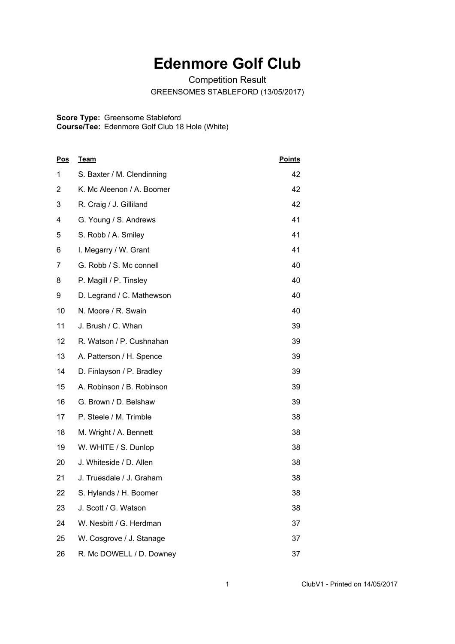## **Edenmore Golf Club**

Competition Result GREENSOMES STABLEFORD (13/05/2017)

## **Score Type: Course/Tee:** Greensome Stableford Edenmore Golf Club 18 Hole (White)

| <u>Pos</u> | <b>Team</b>                | <b>Points</b> |
|------------|----------------------------|---------------|
| 1          | S. Baxter / M. Clendinning | 42            |
| 2          | K. Mc Aleenon / A. Boomer  | 42            |
| 3          | R. Craig / J. Gilliland    | 42            |
| 4          | G. Young / S. Andrews      | 41            |
| 5          | S. Robb / A. Smiley        | 41            |
| 6          | I. Megarry / W. Grant      | 41            |
| 7          | G. Robb / S. Mc connell    | 40            |
| 8          | P. Magill / P. Tinsley     | 40            |
| 9          | D. Legrand / C. Mathewson  | 40            |
| 10         | N. Moore / R. Swain        | 40            |
| 11         | J. Brush / C. Whan         | 39            |
| 12         | R. Watson / P. Cushnahan   | 39            |
| 13         | A. Patterson / H. Spence   | 39            |
| 14         | D. Finlayson / P. Bradley  | 39            |
| 15         | A. Robinson / B. Robinson  | 39            |
| 16         | G. Brown / D. Belshaw      | 39            |
| 17         | P. Steele / M. Trimble     | 38            |
| 18         | M. Wright / A. Bennett     | 38            |
| 19         | W. WHITE / S. Dunlop       | 38            |
| 20         | J. Whiteside / D. Allen    | 38            |
| 21         | J. Truesdale / J. Graham   | 38            |
| 22         | S. Hylands / H. Boomer     | 38            |
| 23         | J. Scott / G. Watson       | 38            |
| 24         | W. Nesbitt / G. Herdman    | 37            |
| 25         | W. Cosgrove / J. Stanage   | 37            |
| 26         | R. Mc DOWELL / D. Downey   | 37            |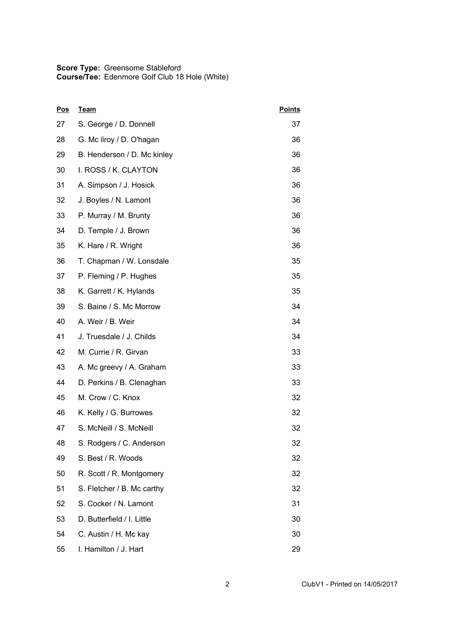## **Score Type: Course/Tee:** Greensome Stableford Edenmore Golf Club 18 Hole (White)

| <u>Pos</u> | <u>Team</u>                 | <b>Points</b> |
|------------|-----------------------------|---------------|
| 27         | S. George / D. Donnell      | 37            |
| 28         | G. Mc ilroy / D. O'hagan    | 36            |
| 29         | B. Henderson / D. Mc kinley | 36            |
| 30         | I. ROSS / K. CLAYTON        | 36            |
| 31         | A. Simpson / J. Hosick      | 36            |
| 32         | J. Boyles / N. Lamont       | 36            |
| 33         | P. Murray / M. Brunty       | 36            |
| 34         | D. Temple / J. Brown        | 36            |
| 35         | K. Hare / R. Wright         | 36            |
| 36         | T. Chapman / W. Lonsdale    | 35            |
| 37         | P. Fleming / P. Hughes      | 35            |
| 38         | K. Garrett / K. Hylands     | 35            |
| 39         | S. Baine / S. Mc Morrow     | 34            |
| 40         | A. Weir / B. Weir           | 34            |
| 41         | J. Truesdale / J. Childs    | 34            |
| 42         | M. Currie / R. Girvan       | 33            |
| 43         | A. Mc greevy / A. Graham    | 33            |
| 44         | D. Perkins / B. Clenaghan   | 33            |
| 45         | M. Crow / C. Knox           | 32            |
| 46         | K. Kelly / G. Burrowes      | 32            |
| 47         | S. McNeill / S. McNeill     | 32            |
| 48         | S. Rodgers / C. Anderson    | 32            |
| 49         | S. Best / R. Woods          | 32            |
| 50         | R. Scott / R. Montgomery    | 32            |
| 51         | S. Fletcher / B. Mc carthy  | 32            |
| 52         | S. Cocker / N. Lamont       | 31            |
| 53         | D. Butterfield / I. Little  | 30            |
| 54         | C. Austin / H. Mc kay       | 30            |
| 55         | I. Hamilton / J. Hart       | 29            |